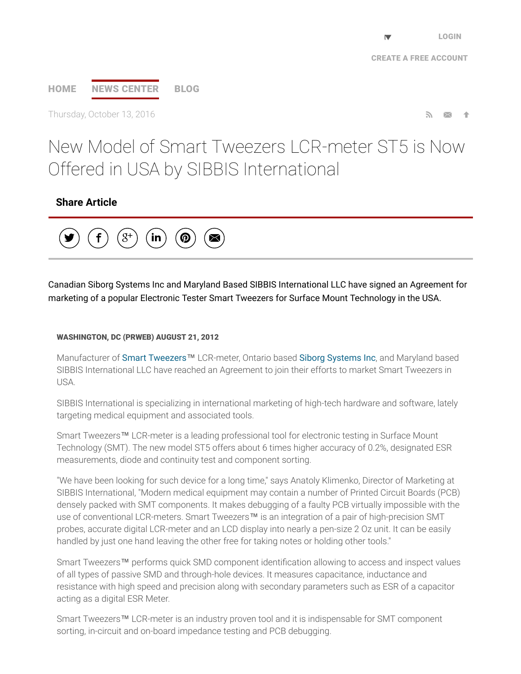## [HOME](http://www.prweb.com/) NEWS [CENTER](http://www.prweb.com/recentnews/) [BLOG](http://www.cision.com/us/blog/)

Thursday, October 13, 2016  $\blacksquare$ 

# New Model of Smart Tweezers LCR-meter ST5 is Now Offered in USA by SIBBIS International

## Share Article



Canadian Siborg Systems Inc and Maryland Based SIBBIS International LLC have signed an Agreement for marketing of a popular Electronic Tester Smart Tweezers for Surface Mount Technology in the USA.

#### WASHINGTON, DC (PRWEB) AUGUST 21, 2012

Manufacturer of Smart [Tweezers](http://www.prweb.net/Redirect.aspx?id=aHR0cDovL3d3dy5zbWFydHR3ZWV6ZXJzLnVz)™ LCR-meter, Ontario based Siborg [Systems](http://www.prweb.net/Redirect.aspx?id=aHR0cDovL3d3dy5zaWJvcmcuY29t) Inc, and Maryland based SIBBIS International LLC have reached an Agreement to join their efforts to market Smart Tweezers in USA.

SIBBIS International is specializing in international marketing of high-tech hardware and software, lately targeting medical equipment and associated tools.

Smart Tweezers™ LCR-meter is a leading professional tool for electronic testing in Surface Mount Technology (SMT). The new model ST5 offers about 6 times higher accuracy of 0.2%, designated ESR measurements, diode and continuity test and component sorting.

"We have been looking for such device for a long time," says Anatoly Klimenko, Director of Marketing at SIBBIS International, "Modern medical equipment may contain a number of Printed Circuit Boards (PCB) densely packed with SMT components. It makes debugging of a faulty PCB virtually impossible with the use of conventional LCR-meters. Smart Tweezers™ is an integration of a pair of high-precision SMT probes, accurate digital LCR-meter and an LCD display into nearly a pen-size 2 Oz unit. It can be easily handled by just one hand leaving the other free for taking notes or holding other tools."

Smart Tweezers™ performs quick SMD component identification allowing to access and inspect values of all types of passive SMD and through-hole devices. It measures capacitance, inductance and resistance with high speed and precision along with secondary parameters such as ESR of a capacitor acting as a digital ESR Meter.

Smart Tweezers™ LCR-meter is an industry proven tool and it is indispensable for SMT component sorting, in-circuit and on-board impedance testing and PCB debugging.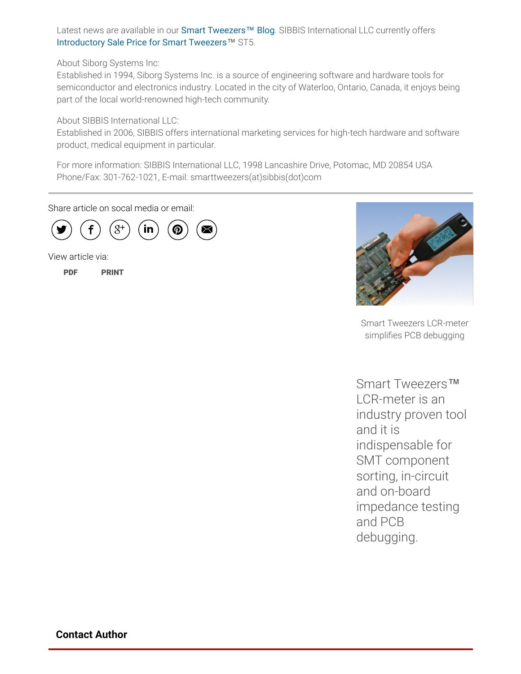Latest news are available in our Smart [Tweezers](http://www.prweb.net/Redirect.aspx?id=aHR0cDovL3d3dy5zbWFydHR3ZWV6ZXJzLnVzL2Jsb2c=)™ Blog. SIBBIS International LLC currently offers [Introductory](http://www.prweb.net/Redirect.aspx?id=aHR0cDovL3d3dy5zbWFydHR3ZWV6ZXJzLmNhL3NhbGU=) Sale Price for Smart Tweezers™ ST5.

About Siborg Systems Inc:

Established in 1994, Siborg Systems Inc. is a source of engineering software and hardware tools for semiconductor and electronics industry. Located in the city of Waterloo, Ontario, Canada, it enjoys being part of the local world-renowned high-tech community.

About SIBBIS International LLC:

Established in 2006, SIBBIS offers international marketing services for high-tech hardware and software product, medical equipment in particular.

For more information: SIBBIS International LLC, 1998 Lancashire Drive, Potomac, MD 20854 USA Phone/Fax: 301-762-1021, E-mail: smarttweezers(at)sibbis(dot)com

Share article on socal media or email:



View article via:

[PDF](http://www.prweb.com/pdfdownload/9815903.pdf) [PRINT](http://www.prweb.com/printer/9815903.htm)



Smart Tweezers LCR-meter simplifies PCB debugging

Smart Tweezers™ LCR-meter is an industry proven tool and it is indispensable for SMT component sorting, in-circuit and on-board impedance testing and PCB debugging.

Contact Author